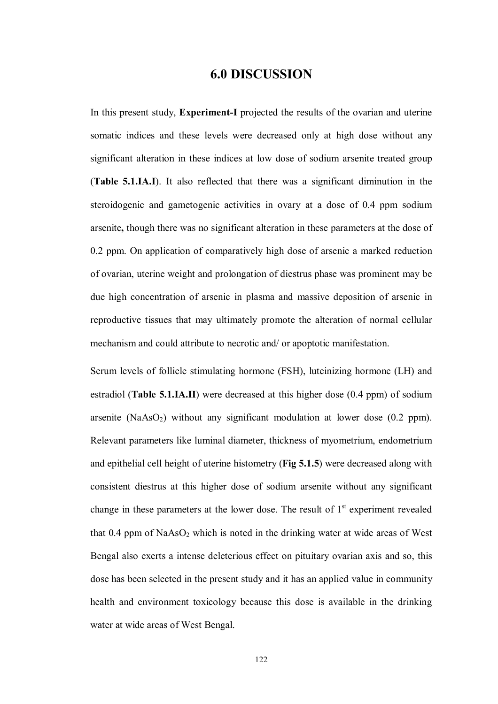## **6.0 DISCUSSION**

In this present study, **Experiment-I** projected the results of the ovarian and uterine somatic indices and these levels were decreased only at high dose without any significant alteration in these indices at low dose of sodium arsenite treated group (**Table 5.1.IA.I**). It also reflected that there was a significant diminution in the steroidogenic and gametogenic activities in ovary at a dose of 0.4 ppm sodium arsenite**,** though there was no significant alteration in these parameters at the dose of 0.2 ppm. On application of comparatively high dose of arsenic a marked reduction of ovarian, uterine weight and prolongation of diestrus phase was prominent may be due high concentration of arsenic in plasma and massive deposition of arsenic in reproductive tissues that may ultimately promote the alteration of normal cellular mechanism and could attribute to necrotic and/ or apoptotic manifestation.

Serum levels of follicle stimulating hormone (FSH), luteinizing hormone (LH) and estradiol (**Table 5.1.IA.II**) were decreased at this higher dose (0.4 ppm) of sodium arsenite (NaAsO<sub>2</sub>) without any significant modulation at lower dose  $(0.2$  ppm). Relevant parameters like luminal diameter, thickness of myometrium, endometrium and epithelial cell height of uterine histometry (**Fig 5.1.5**) were decreased along with consistent diestrus at this higher dose of sodium arsenite without any significant change in these parameters at the lower dose. The result of  $1<sup>st</sup>$  experiment revealed that  $0.4$  ppm of NaAs $O_2$  which is noted in the drinking water at wide areas of West Bengal also exerts a intense deleterious effect on pituitary ovarian axis and so, this dose has been selected in the present study and it has an applied value in community health and environment toxicology because this dose is available in the drinking water at wide areas of West Bengal.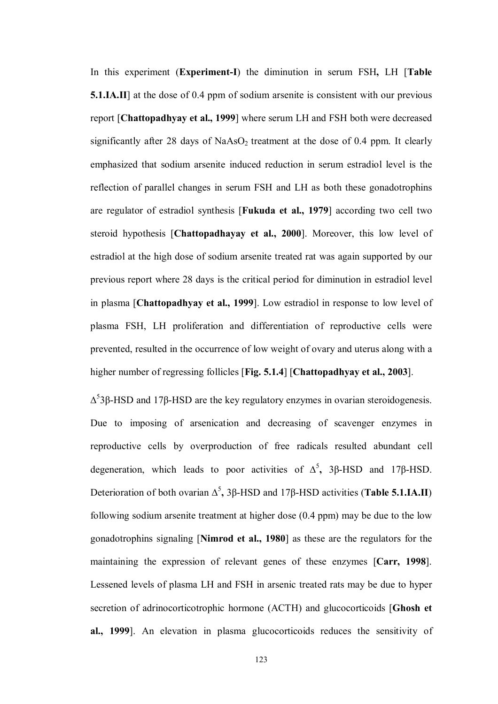In this experiment (**Experiment-I**) the diminution in serum FSH**,** LH [**Table 5.1.IA.II**] at the dose of 0.4 ppm of sodium arsenite is consistent with our previous report [**Chattopadhyay et al., 1999**] where serum LH and FSH both were decreased significantly after 28 days of  $NaAsO<sub>2</sub>$  treatment at the dose of 0.4 ppm. It clearly emphasized that sodium arsenite induced reduction in serum estradiol level is the reflection of parallel changes in serum FSH and LH as both these gonadotrophins are regulator of estradiol synthesis [**Fukuda et al., 1979**] according two cell two steroid hypothesis [**Chattopadhayay et al., 2000**]. Moreover, this low level of estradiol at the high dose of sodium arsenite treated rat was again supported by our previous report where 28 days is the critical period for diminution in estradiol level in plasma [**Chattopadhyay et al., 1999**]. Low estradiol in response to low level of plasma FSH, LH proliferation and differentiation of reproductive cells were prevented, resulted in the occurrence of low weight of ovary and uterus along with a higher number of regressing follicles [**Fig. 5.1.4**] [**Chattopadhyay et al., 2003**].

 $Δ<sup>5</sup>3β$ -HSD and 17β-HSD are the key regulatory enzymes in ovarian steroidogenesis. Due to imposing of arsenication and decreasing of scavenger enzymes in reproductive cells by overproduction of free radicals resulted abundant cell degeneration, which leads to poor activities of Δ<sup>5</sup>, 3β-HSD and 17β-HSD. Deterioration of both ovarian Δ<sup>5</sup>, 3β-HSD and 17β-HSD activities (**Table 5.1.IA.II**) following sodium arsenite treatment at higher dose (0.4 ppm) may be due to the low gonadotrophins signaling [**Nimrod et al., 1980**] as these are the regulators for the maintaining the expression of relevant genes of these enzymes [**Carr, 1998**]. Lessened levels of plasma LH and FSH in arsenic treated rats may be due to hyper secretion of adrinocorticotrophic hormone (ACTH) and glucocorticoids [**Ghosh et al., 1999**]. An elevation in plasma glucocorticoids reduces the sensitivity of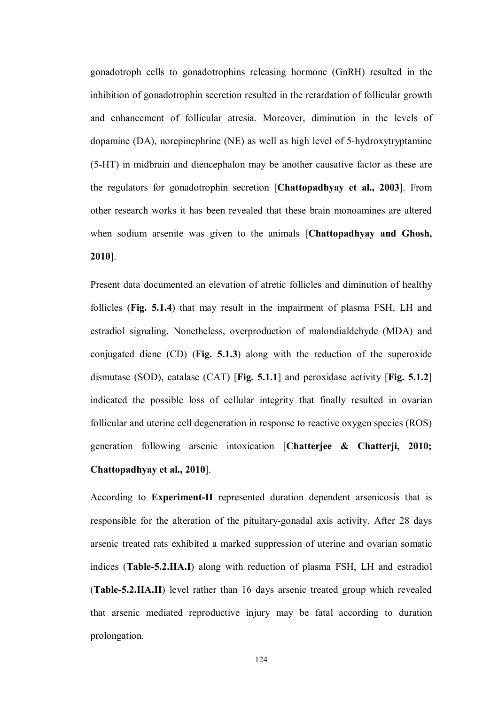gonadotroph cells to gonadotrophins releasing hormone (GnRH) resulted in the inhibition of gonadotrophin secretion resulted in the retardation of follicular growth and enhancement of follicular atresia. Moreover, diminution in the levels of dopamine (DA), norepinephrine (NE) as well as high level of 5-hydroxytryptamine (5-HT) in midbrain and diencephalon may be another causative factor as these are the regulators for gonadotrophin secretion [**Chattopadhyay et al., 2003**]. From other research works it has been revealed that these brain monoamines are altered when sodium arsenite was given to the animals [**Chattopadhyay and Ghosh, 2010**].

Present data documented an elevation of atretic follicles and diminution of healthy follicles (**Fig. 5.1.4**) that may result in the impairment of plasma FSH, LH and estradiol signaling. Nonetheless, overproduction of malondialdehyde (MDA) and conjugated diene (CD) (**Fig. 5.1.3**) along with the reduction of the superoxide dismutase (SOD), catalase (CAT) [**Fig. 5.1.1**] and peroxidase activity [**Fig. 5.1.2**] indicated the possible loss of cellular integrity that finally resulted in ovarian follicular and uterine cell degeneration in response to reactive oxygen species (ROS) generation following arsenic intoxication [**Chatterjee & Chatterji, 2010; Chattopadhyay et al., 2010**].

According to **Experiment-II** represented duration dependent arsenicosis that is responsible for the alteration of the pituitary-gonadal axis activity. After 28 days arsenic treated rats exhibited a marked suppression of uterine and ovarian somatic indices (**Table-5.2.IIA.I**) along with reduction of plasma FSH, LH and estradiol (**Table-5.2.IIA.II**) level rather than 16 days arsenic treated group which revealed that arsenic mediated reproductive injury may be fatal according to duration prolongation.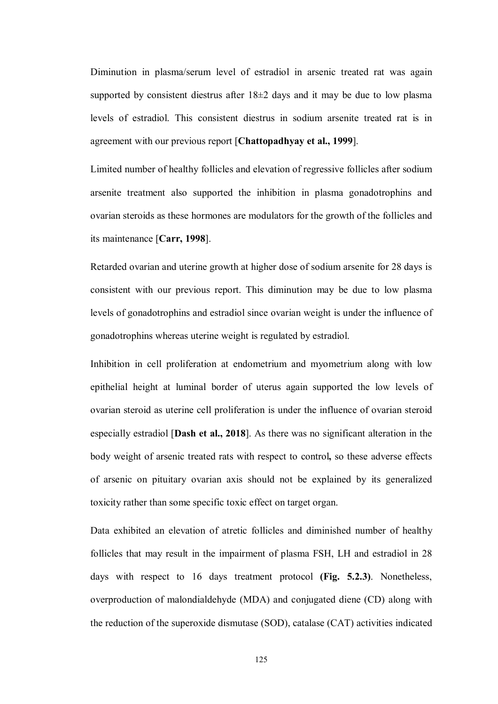Diminution in plasma/serum level of estradiol in arsenic treated rat was again supported by consistent diestrus after  $18\pm 2$  days and it may be due to low plasma levels of estradiol. This consistent diestrus in sodium arsenite treated rat is in agreement with our previous report [**Chattopadhyay et al., 1999**].

Limited number of healthy follicles and elevation of regressive follicles after sodium arsenite treatment also supported the inhibition in plasma gonadotrophins and ovarian steroids as these hormones are modulators for the growth of the follicles and its maintenance [**Carr, 1998**].

Retarded ovarian and uterine growth at higher dose of sodium arsenite for 28 days is consistent with our previous report. This diminution may be due to low plasma levels of gonadotrophins and estradiol since ovarian weight is under the influence of gonadotrophins whereas uterine weight is regulated by estradiol.

Inhibition in cell proliferation at endometrium and myometrium along with low epithelial height at luminal border of uterus again supported the low levels of ovarian steroid as uterine cell proliferation is under the influence of ovarian steroid especially estradiol [**Dash et al., 2018**]. As there was no significant alteration in the body weight of arsenic treated rats with respect to control**,** so these adverse effects of arsenic on pituitary ovarian axis should not be explained by its generalized toxicity rather than some specific toxic effect on target organ.

Data exhibited an elevation of atretic follicles and diminished number of healthy follicles that may result in the impairment of plasma FSH, LH and estradiol in 28 days with respect to 16 days treatment protocol **(Fig. 5.2.3)**. Nonetheless, overproduction of malondialdehyde (MDA) and conjugated diene (CD) along with the reduction of the superoxide dismutase (SOD), catalase (CAT) activities indicated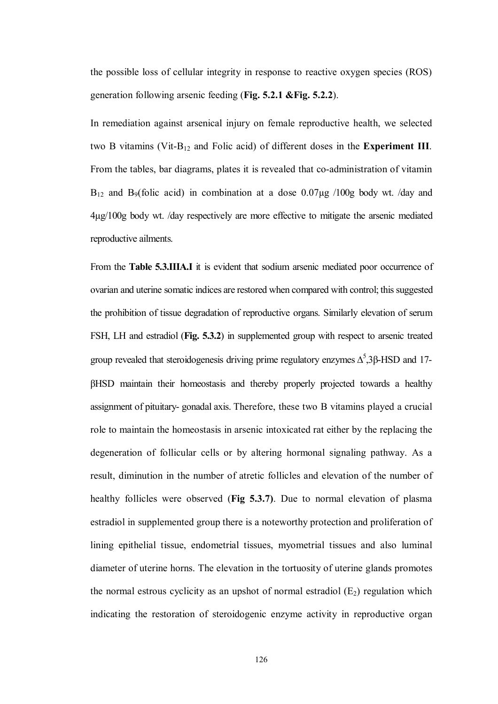the possible loss of cellular integrity in response to reactive oxygen species (ROS) generation following arsenic feeding (**Fig. 5.2.1 &Fig. 5.2.2**).

In remediation against arsenical injury on female reproductive health, we selected two B vitamins (Vit-B<sup>12</sup> and Folic acid) of different doses in the **Experiment III**. From the tables, bar diagrams, plates it is revealed that co-administration of vitamin  $B_{12}$  and  $B_9$ (folic acid) in combination at a dose 0.07 $\mu$ g /100g body wt. /day and 4µg/100g body wt. /day respectively are more effective to mitigate the arsenic mediated reproductive ailments.

From the **Table 5.3.IIIA.I** it is evident that sodium arsenic mediated poor occurrence of ovarian and uterine somatic indices are restored when compared with control; this suggested the prohibition of tissue degradation of reproductive organs. Similarly elevation of serum FSH, LH and estradiol (**Fig. 5.3.2**) in supplemented group with respect to arsenic treated group revealed that steroidogenesis driving prime regulatory enzymes  $Δ<sup>5</sup>,3β$ -HSD and 17βHSD maintain their homeostasis and thereby properly projected towards a healthy assignment of pituitary- gonadal axis. Therefore, these two B vitamins played a crucial role to maintain the homeostasis in arsenic intoxicated rat either by the replacing the degeneration of follicular cells or by altering hormonal signaling pathway. As a result, diminution in the number of atretic follicles and elevation of the number of healthy follicles were observed (**Fig 5.3.7)**. Due to normal elevation of plasma estradiol in supplemented group there is a noteworthy protection and proliferation of lining epithelial tissue, endometrial tissues, myometrial tissues and also luminal diameter of uterine horns. The elevation in the tortuosity of uterine glands promotes the normal estrous cyclicity as an upshot of normal estradiol  $(E_2)$  regulation which indicating the restoration of steroidogenic enzyme activity in reproductive organ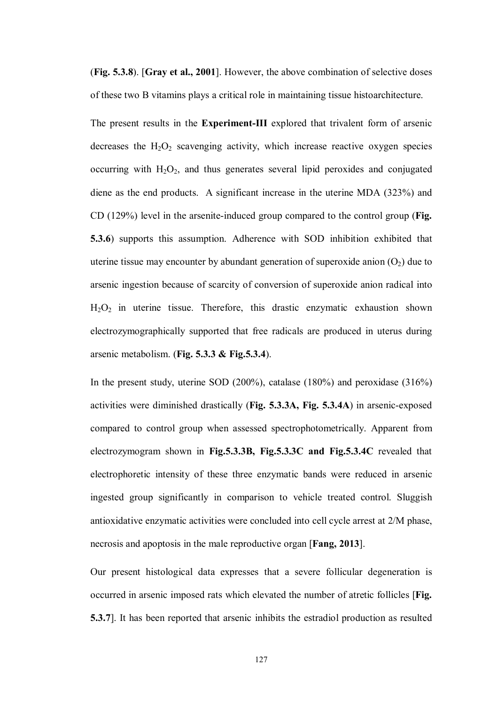(**Fig. 5.3.8**). [**Gray et al., 2001**]. However, the above combination of selective doses of these two B vitamins plays a critical role in maintaining tissue histoarchitecture.

The present results in the **Experiment-III** explored that trivalent form of arsenic decreases the  $H_2O_2$  scavenging activity, which increase reactive oxygen species occurring with  $H_2O_2$ , and thus generates several lipid peroxides and conjugated diene as the end products. A significant increase in the uterine MDA (323%) and CD (129%) level in the arsenite-induced group compared to the control group (**Fig. 5.3.6**) supports this assumption. Adherence with SOD inhibition exhibited that uterine tissue may encounter by abundant generation of superoxide anion  $(O_2)$  due to arsenic ingestion because of scarcity of conversion of superoxide anion radical into H2O2 in uterine tissue. Therefore, this drastic enzymatic exhaustion shown electrozymographically supported that free radicals are produced in uterus during arsenic metabolism. (**Fig. 5.3.3 & Fig.5.3.4**).

In the present study, uterine SOD (200%), catalase (180%) and peroxidase (316%) activities were diminished drastically (**Fig. 5.3.3A, Fig. 5.3.4A**) in arsenic-exposed compared to control group when assessed spectrophotometrically. Apparent from electrozymogram shown in **Fig.5.3.3B, Fig.5.3.3C and Fig.5.3.4C** revealed that electrophoretic intensity of these three enzymatic bands were reduced in arsenic ingested group significantly in comparison to vehicle treated control. Sluggish antioxidative enzymatic activities were concluded into cell cycle arrest at 2/M phase, necrosis and apoptosis in the male reproductive organ [**Fang, 2013**].

Our present histological data expresses that a severe follicular degeneration is occurred in arsenic imposed rats which elevated the number of atretic follicles [**Fig. 5.3.7**]. It has been reported that arsenic inhibits the estradiol production as resulted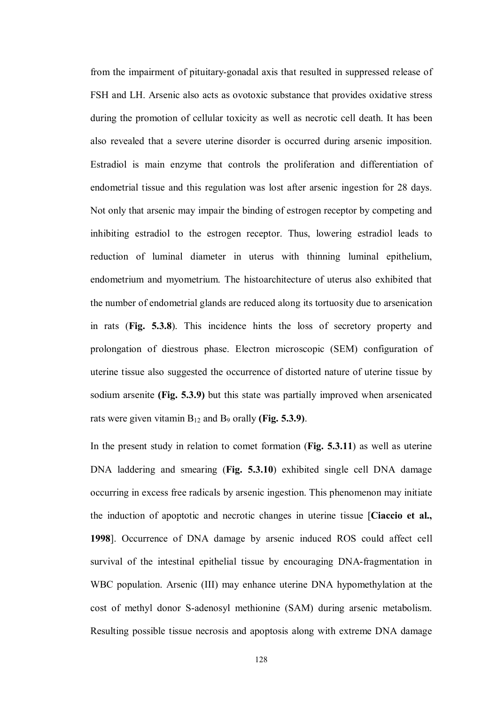from the impairment of pituitary-gonadal axis that resulted in suppressed release of FSH and LH. Arsenic also acts as ovotoxic substance that provides oxidative stress during the promotion of cellular toxicity as well as necrotic cell death. It has been also revealed that a severe uterine disorder is occurred during arsenic imposition. Estradiol is main enzyme that controls the proliferation and differentiation of endometrial tissue and this regulation was lost after arsenic ingestion for 28 days. Not only that arsenic may impair the binding of estrogen receptor by competing and inhibiting estradiol to the estrogen receptor. Thus, lowering estradiol leads to reduction of luminal diameter in uterus with thinning luminal epithelium, endometrium and myometrium. The histoarchitecture of uterus also exhibited that the number of endometrial glands are reduced along its tortuosity due to arsenication in rats (**Fig. 5.3.8**). This incidence hints the loss of secretory property and prolongation of diestrous phase. Electron microscopic (SEM) configuration of uterine tissue also suggested the occurrence of distorted nature of uterine tissue by sodium arsenite **(Fig. 5.3.9)** but this state was partially improved when arsenicated rats were given vitamin B<sup>12</sup> and B<sup>9</sup> orally **(Fig. 5.3.9)**.

In the present study in relation to comet formation (**Fig. 5.3.11**) as well as uterine DNA laddering and smearing (**Fig. 5.3.10**) exhibited single cell DNA damage occurring in excess free radicals by arsenic ingestion. This phenomenon may initiate the induction of apoptotic and necrotic changes in uterine tissue [**Ciaccio et al., 1998**]. Occurrence of DNA damage by arsenic induced ROS could affect cell survival of the intestinal epithelial tissue by encouraging DNA-fragmentation in WBC population. Arsenic (III) may enhance uterine DNA hypomethylation at the cost of methyl donor S-adenosyl methionine (SAM) during arsenic metabolism. Resulting possible tissue necrosis and apoptosis along with extreme DNA damage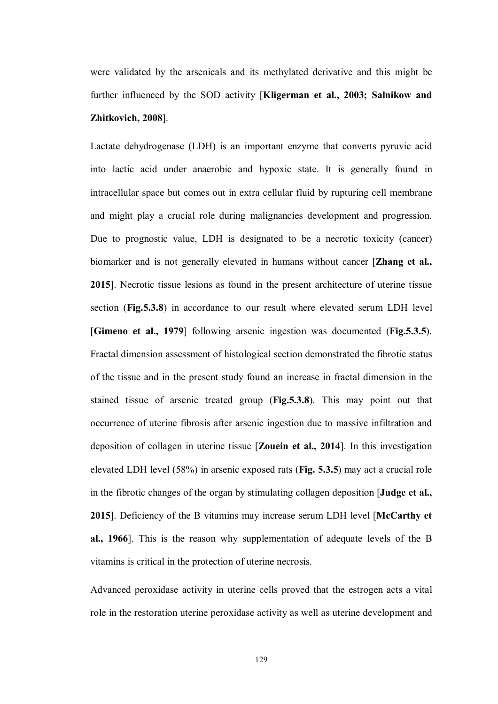were validated by the arsenicals and its methylated derivative and this might be further influenced by the SOD activity [**Kligerman et al., 2003; Salnikow and Zhitkovich, 2008**].

Lactate dehydrogenase (LDH) is an important enzyme that converts pyruvic acid into lactic acid under anaerobic and hypoxic state. It is generally found in intracellular space but comes out in extra cellular fluid by rupturing cell membrane and might play a crucial role during malignancies development and progression. Due to prognostic value, LDH is designated to be a necrotic toxicity (cancer) biomarker and is not generally elevated in humans without cancer [**Zhang et al., 2015**]. Necrotic tissue lesions as found in the present architecture of uterine tissue section (**Fig.5.3.8**) in accordance to our result where elevated serum LDH level [**Gimeno et al., 1979**] following arsenic ingestion was documented (**Fig.5.3.5**). Fractal dimension assessment of histological section demonstrated the fibrotic status of the tissue and in the present study found an increase in fractal dimension in the stained tissue of arsenic treated group (**Fig.5.3.8**). This may point out that occurrence of uterine fibrosis after arsenic ingestion due to massive infiltration and deposition of collagen in uterine tissue [**Zouein et al., 2014**]. In this investigation elevated LDH level (58%) in arsenic exposed rats (**Fig. 5.3.5**) may act a crucial role in the fibrotic changes of the organ by stimulating collagen deposition [**Judge et al., 2015**]. Deficiency of the B vitamins may increase serum LDH level [**McCarthy et al., 1966**]. This is the reason why supplementation of adequate levels of the B vitamins is critical in the protection of uterine necrosis.

Advanced peroxidase activity in uterine cells proved that the estrogen acts a vital role in the restoration uterine peroxidase activity as well as uterine development and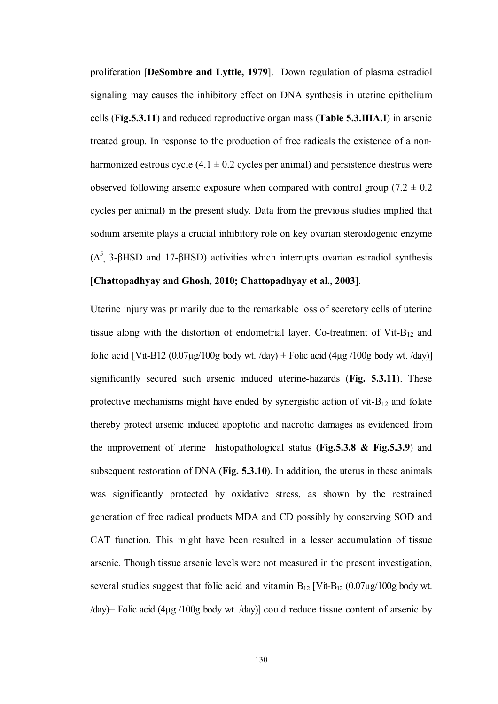proliferation [**DeSombre and Lyttle, 1979**]. Down regulation of plasma estradiol signaling may causes the inhibitory effect on DNA synthesis in uterine epithelium cells (**Fig.5.3.11**) and reduced reproductive organ mass (**Table 5.3.IIIA.I**) in arsenic treated group. In response to the production of free radicals the existence of a nonharmonized estrous cycle  $(4.1 \pm 0.2$  cycles per animal) and persistence diestrus were observed following arsenic exposure when compared with control group (7.2  $\pm$  0.2 cycles per animal) in the present study. Data from the previous studies implied that sodium arsenite plays a crucial inhibitory role on key ovarian steroidogenic enzyme ( $Δ<sup>5</sup>$ , 3-βHSD and 17-βHSD) activities which interrupts ovarian estradiol synthesis

## [**Chattopadhyay and Ghosh, 2010; Chattopadhyay et al., 2003**].

Uterine injury was primarily due to the remarkable loss of secretory cells of uterine tissue along with the distortion of endometrial layer. Co-treatment of  $V$ it- $B_{12}$  and folic acid [Vit-B12 (0.07 $\mu$ g/100g body wt. /day) + Folic acid (4 $\mu$ g /100g body wt. /day)] significantly secured such arsenic induced uterine-hazards (**Fig. 5.3.11**). These protective mechanisms might have ended by synergistic action of vit- $B_{12}$  and folate thereby protect arsenic induced apoptotic and nacrotic damages as evidenced from the improvement of uterine histopathological status (**Fig.5.3.8 & Fig.5.3.9**) and subsequent restoration of DNA (**Fig. 5.3.10**). In addition, the uterus in these animals was significantly protected by oxidative stress, as shown by the restrained generation of free radical products MDA and CD possibly by conserving SOD and CAT function. This might have been resulted in a lesser accumulation of tissue arsenic. Though tissue arsenic levels were not measured in the present investigation, several studies suggest that folic acid and vitamin  $B_{12}$  [Vit- $B_{12}$  (0.07µg/100g body wt. /day)+ Folic acid (4µg /100g body wt. /day)] could reduce tissue content of arsenic by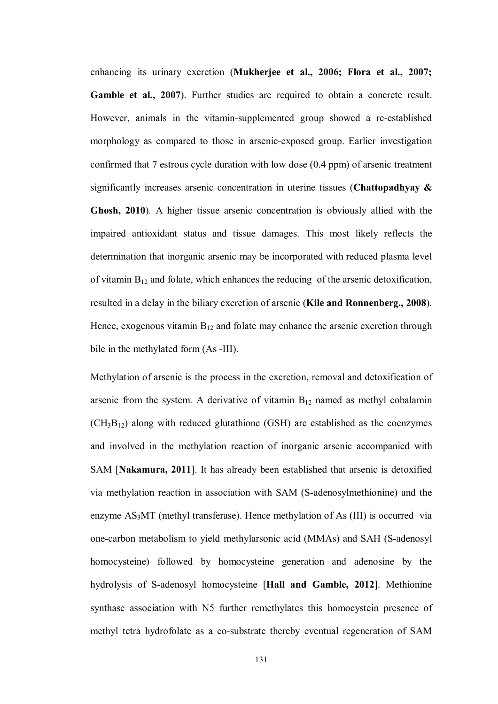enhancing its urinary excretion (**Mukherjee et al., 2006; Flora et al., 2007; Gamble et al., 2007**). Further studies are required to obtain a concrete result. However, animals in the vitamin-supplemented group showed a re-established morphology as compared to those in arsenic-exposed group. Earlier investigation confirmed that 7 estrous cycle duration with low dose (0.4 ppm) of arsenic treatment significantly increases arsenic concentration in uterine tissues (**Chattopadhyay & Ghosh, 2010**). A higher tissue arsenic concentration is obviously allied with the impaired antioxidant status and tissue damages. This most likely reflects the determination that inorganic arsenic may be incorporated with reduced plasma level of vitamin  $B_{12}$  and folate, which enhances the reducing of the arsenic detoxification, resulted in a delay in the biliary excretion of arsenic (**Kile and Ronnenberg., 2008**). Hence, exogenous vitamin  $B_{12}$  and folate may enhance the arsenic excretion through bile in the methylated form (As -III).

Methylation of arsenic is the process in the excretion, removal and detoxification of arsenic from the system. A derivative of vitamin  $B_{12}$  named as methyl cobalamin  $(CH_3B_{12})$  along with reduced glutathione (GSH) are established as the coenzymes and involved in the methylation reaction of inorganic arsenic accompanied with SAM [**Nakamura, 2011**]. It has already been established that arsenic is detoxified via methylation reaction in association with SAM (S-adenosylmethionine) and the enzyme AS<sub>3</sub>MT (methyl transferase). Hence methylation of As (III) is occurred via one-carbon metabolism to yield methylarsonic acid (MMAs) and SAH (S-adenosyl homocysteine) followed by homocysteine generation and adenosine by the hydrolysis of S-adenosyl homocysteine [**Hall and Gamble, 2012**]. Methionine synthase association with N5 further remethylates this homocystein presence of methyl tetra hydrofolate as a co-substrate thereby eventual regeneration of SAM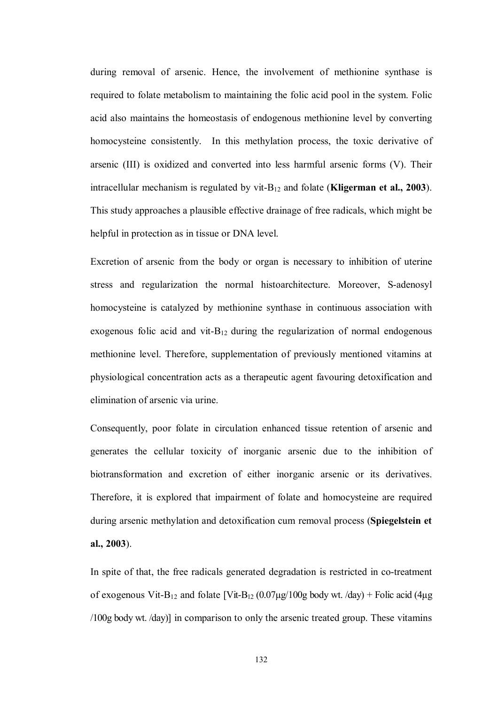during removal of arsenic. Hence, the involvement of methionine synthase is required to folate metabolism to maintaining the folic acid pool in the system. Folic acid also maintains the homeostasis of endogenous methionine level by converting homocysteine consistently. In this methylation process, the toxic derivative of arsenic (III) is oxidized and converted into less harmful arsenic forms (V). Their intracellular mechanism is regulated by vit-B<sup>12</sup> and folate (**Kligerman et al., 2003**). This study approaches a plausible effective drainage of free radicals, which might be helpful in protection as in tissue or DNA level.

Excretion of arsenic from the body or organ is necessary to inhibition of uterine stress and regularization the normal histoarchitecture. Moreover, S-adenosyl homocysteine is catalyzed by methionine synthase in continuous association with exogenous folic acid and vit- $B_{12}$  during the regularization of normal endogenous methionine level. Therefore, supplementation of previously mentioned vitamins at physiological concentration acts as a therapeutic agent favouring detoxification and elimination of arsenic via urine.

Consequently, poor folate in circulation enhanced tissue retention of arsenic and generates the cellular toxicity of inorganic arsenic due to the inhibition of biotransformation and excretion of either inorganic arsenic or its derivatives. Therefore, it is explored that impairment of folate and homocysteine are required during arsenic methylation and detoxification cum removal process (**Spiegelstein et al., 2003**).

In spite of that, the free radicals generated degradation is restricted in co-treatment of exogenous Vit-B<sub>12</sub> and folate [Vit-B<sub>12</sub> (0.07µg/100g body wt. /day) + Folic acid (4µg) /100g body wt. /day)] in comparison to only the arsenic treated group. These vitamins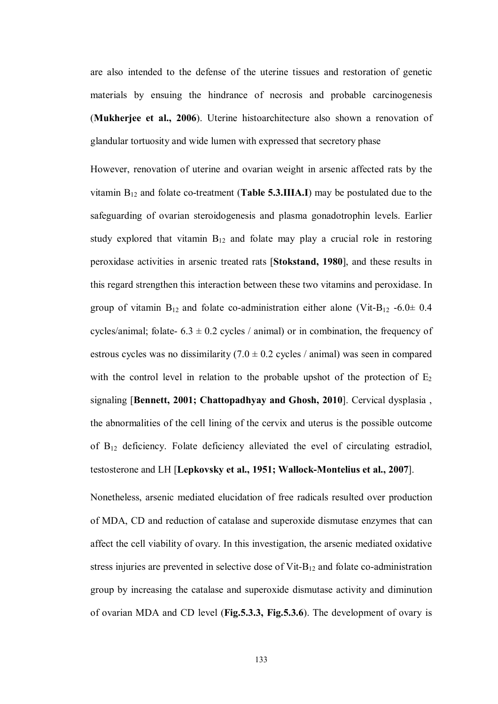are also intended to the defense of the uterine tissues and restoration of genetic materials by ensuing the hindrance of necrosis and probable carcinogenesis (**Mukherjee et al., 2006**). Uterine histoarchitecture also shown a renovation of glandular tortuosity and wide lumen with expressed that secretory phase

However, renovation of uterine and ovarian weight in arsenic affected rats by the vitamin B<sup>12</sup> and folate co-treatment (**Table 5.3.IIIA.I**) may be postulated due to the safeguarding of ovarian steroidogenesis and plasma gonadotrophin levels. Earlier study explored that vitamin  $B_{12}$  and folate may play a crucial role in restoring peroxidase activities in arsenic treated rats [**Stokstand, 1980**], and these results in this regard strengthen this interaction between these two vitamins and peroxidase. In group of vitamin  $B_{12}$  and folate co-administration either alone (Vit-B<sub>12</sub> -6.0 $\pm$  0.4 cycles/animal; folate-  $6.3 \pm 0.2$  cycles / animal) or in combination, the frequency of estrous cycles was no dissimilarity  $(7.0 \pm 0.2 \text{ cycles / animal})$  was seen in compared with the control level in relation to the probable upshot of the protection of  $E_2$ signaling [**Bennett, 2001; Chattopadhyay and Ghosh, 2010**]. Cervical dysplasia , the abnormalities of the cell lining of the cervix and uterus is the possible outcome of B<sup>12</sup> deficiency. Folate deficiency alleviated the evel of circulating estradiol, testosterone and LH [**Lepkovsky et al., 1951; Wallock-Montelius et al., 2007**].

Nonetheless, arsenic mediated elucidation of free radicals resulted over production of MDA, CD and reduction of catalase and superoxide dismutase enzymes that can affect the cell viability of ovary. In this investigation, the arsenic mediated oxidative stress injuries are prevented in selective dose of Vit- $B_{12}$  and folate co-administration group by increasing the catalase and superoxide dismutase activity and diminution of ovarian MDA and CD level (**Fig.5.3.3, Fig.5.3.6**). The development of ovary is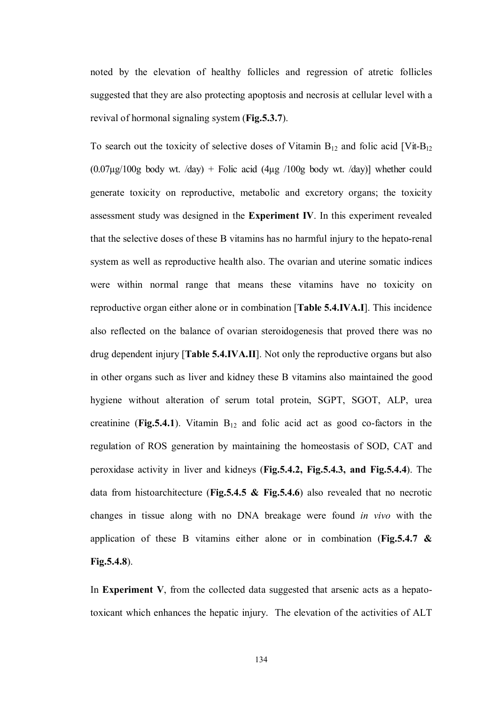noted by the elevation of healthy follicles and regression of atretic follicles suggested that they are also protecting apoptosis and necrosis at cellular level with a revival of hormonal signaling system (**Fig.5.3.7**).

To search out the toxicity of selective doses of Vitamin  $B_{12}$  and folic acid [Vit- $B_{12}$ ]  $(0.07\mu g/100g$  body wt. /day) + Folic acid  $(4\mu g/100g$  body wt. /day)] whether could generate toxicity on reproductive, metabolic and excretory organs; the toxicity assessment study was designed in the **Experiment IV**. In this experiment revealed that the selective doses of these B vitamins has no harmful injury to the hepato-renal system as well as reproductive health also. The ovarian and uterine somatic indices were within normal range that means these vitamins have no toxicity on reproductive organ either alone or in combination [**Table 5.4.IVA.I**]. This incidence also reflected on the balance of ovarian steroidogenesis that proved there was no drug dependent injury [**Table 5.4.IVA.II**]. Not only the reproductive organs but also in other organs such as liver and kidney these B vitamins also maintained the good hygiene without alteration of serum total protein, SGPT, SGOT, ALP, urea creatinine (**Fig.5.4.1**). Vitamin  $B_{12}$  and folic acid act as good co-factors in the regulation of ROS generation by maintaining the homeostasis of SOD, CAT and peroxidase activity in liver and kidneys (**Fig.5.4.2, Fig.5.4.3, and Fig.5.4.4**). The data from histoarchitecture (**Fig.5.4.5 & Fig.5.4.6**) also revealed that no necrotic changes in tissue along with no DNA breakage were found *in vivo* with the application of these B vitamins either alone or in combination (**Fig.5.4.7 & Fig.5.4.8**).

In **Experiment V**, from the collected data suggested that arsenic acts as a hepatotoxicant which enhances the hepatic injury. The elevation of the activities of ALT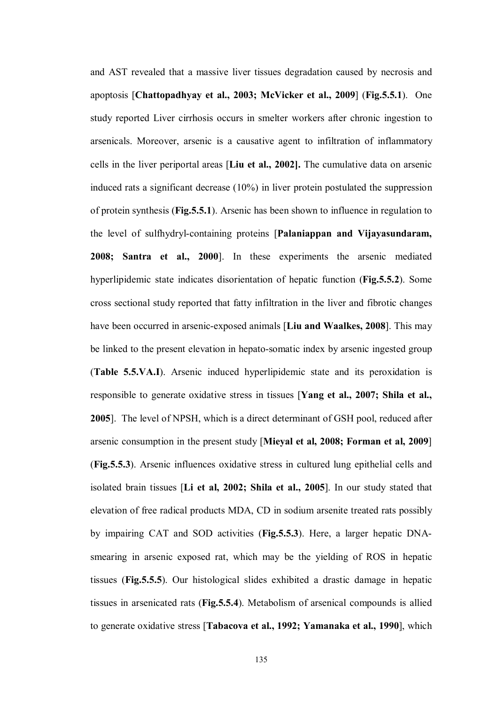and AST revealed that a massive liver tissues degradation caused by necrosis and apoptosis [**Chattopadhyay et al., 2003; McVicker et al., 2009**] (**Fig.5.5.1**). One study reported Liver cirrhosis occurs in smelter workers after chronic ingestion to arsenicals. Moreover, arsenic is a causative agent to infiltration of inflammatory cells in the liver periportal areas [**Liu et al., 2002].** The cumulative data on arsenic induced rats a significant decrease (10%) in liver protein postulated the suppression of protein synthesis (**Fig.5.5.1**). Arsenic has been shown to influence in regulation to the level of sulfhydryl-containing proteins [**Palaniappan and Vijayasundaram, 2008; Santra et al., 2000**]. In these experiments the arsenic mediated hyperlipidemic state indicates disorientation of hepatic function (**Fig.5.5.2**). Some cross sectional study reported that fatty infiltration in the liver and fibrotic changes have been occurred in arsenic-exposed animals [**Liu and Waalkes, 2008**]. This may be linked to the present elevation in hepato-somatic index by arsenic ingested group (**Table 5.5.VA.I**). Arsenic induced hyperlipidemic state and its peroxidation is responsible to generate oxidative stress in tissues [**Yang et al., 2007; Shila et al., 2005**]. The level of NPSH, which is a direct determinant of GSH pool, reduced after arsenic consumption in the present study [**Mieyal et al, 2008; Forman et al, 2009**] (**Fig.5.5.3**). Arsenic influences oxidative stress in cultured lung epithelial cells and isolated brain tissues [**Li et al, 2002; Shila et al., 2005**]. In our study stated that elevation of free radical products MDA, CD in sodium arsenite treated rats possibly by impairing CAT and SOD activities (**Fig.5.5.3**). Here, a larger hepatic DNAsmearing in arsenic exposed rat, which may be the yielding of ROS in hepatic tissues (**Fig.5.5.5**). Our histological slides exhibited a drastic damage in hepatic tissues in arsenicated rats (**Fig.5.5.4**). Metabolism of arsenical compounds is allied to generate oxidative stress [**Tabacova et al., 1992; Yamanaka et al., 1990**], which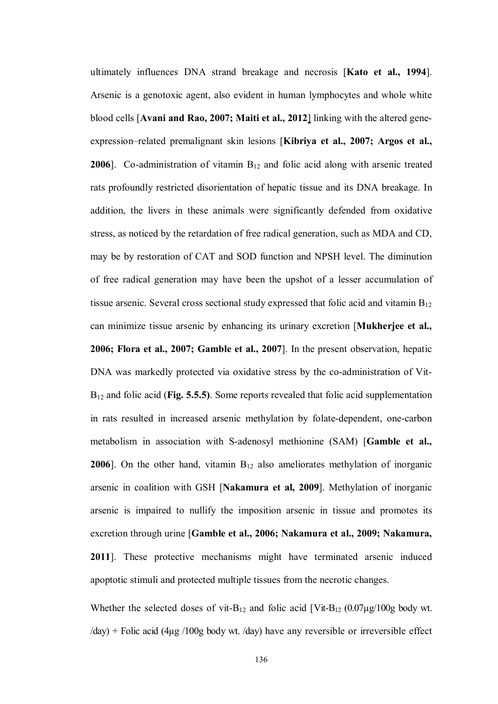ultimately influences DNA strand breakage and necrosis [**Kato et al., 1994**]. Arsenic is a genotoxic agent, also evident in human lymphocytes and whole white blood cells [**Avani and Rao, 2007; Maiti et al., 2012**] linking with the altered geneexpression–related premalignant skin lesions [**Kibriya et al., 2007; Argos et al., 2006**]. Co-administration of vitamin B<sub>12</sub> and folic acid along with arsenic treated rats profoundly restricted disorientation of hepatic tissue and its DNA breakage. In addition, the livers in these animals were significantly defended from oxidative stress, as noticed by the retardation of free radical generation, such as MDA and CD, may be by restoration of CAT and SOD function and NPSH level. The diminution of free radical generation may have been the upshot of a lesser accumulation of tissue arsenic. Several cross sectional study expressed that folic acid and vitamin  $B_{12}$ can minimize tissue arsenic by enhancing its urinary excretion [**Mukherjee et al., 2006; Flora et al., 2007; Gamble et al., 2007**]. In the present observation, hepatic DNA was markedly protected via oxidative stress by the co-administration of Vit-B<sup>12</sup> and folic acid (**Fig. 5.5.5)**. Some reports revealed that folic acid supplementation in rats resulted in increased arsenic methylation by folate-dependent, one-carbon metabolism in association with S-adenosyl methionine (SAM) [**Gamble et al., 2006**]. On the other hand, vitamin  $B_{12}$  also ameliorates methylation of inorganic arsenic in coalition with GSH [**Nakamura et al, 2009**]. Methylation of inorganic arsenic is impaired to nullify the imposition arsenic in tissue and promotes its excretion through urine [**Gamble et al., 2006; Nakamura et al., 2009; Nakamura, 2011**]. These protective mechanisms might have terminated arsenic induced apoptotic stimuli and protected multiple tissues from the necrotic changes.

Whether the selected doses of vit-B<sub>12</sub> and folic acid  $\lceil \text{Vit-B}_{12} \rceil \cdot (0.07 \mu \text{g}/100 \text{g} \text{ body wt.}) \rceil$ /day) + Folic acid (4µg /100g body wt. /day) have any reversible or irreversible effect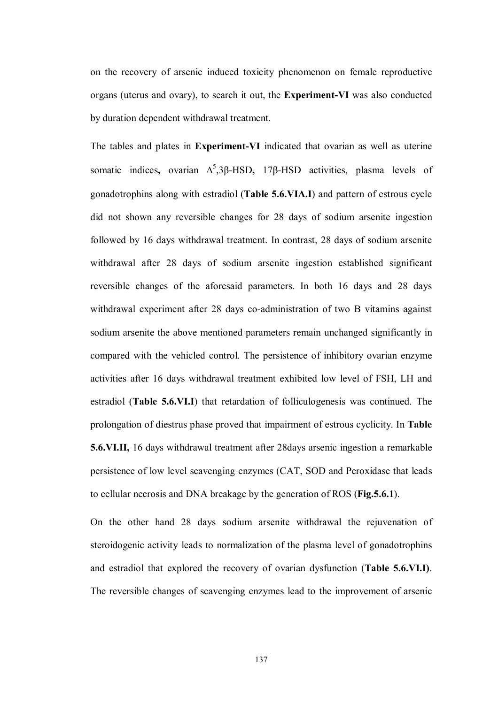on the recovery of arsenic induced toxicity phenomenon on female reproductive organs (uterus and ovary), to search it out, the **Experiment-VI** was also conducted by duration dependent withdrawal treatment.

The tables and plates in **Experiment-VI** indicated that ovarian as well as uterine somatic indices, ovarian Δ<sup>5</sup>,3β-HSD, 17β-HSD activities, plasma levels of gonadotrophins along with estradiol (**Table 5.6.VIA.I**) and pattern of estrous cycle did not shown any reversible changes for 28 days of sodium arsenite ingestion followed by 16 days withdrawal treatment. In contrast, 28 days of sodium arsenite withdrawal after 28 days of sodium arsenite ingestion established significant reversible changes of the aforesaid parameters. In both 16 days and 28 days withdrawal experiment after 28 days co-administration of two B vitamins against sodium arsenite the above mentioned parameters remain unchanged significantly in compared with the vehicled control. The persistence of inhibitory ovarian enzyme activities after 16 days withdrawal treatment exhibited low level of FSH, LH and estradiol (**Table 5.6.VI.I**) that retardation of folliculogenesis was continued. The prolongation of diestrus phase proved that impairment of estrous cyclicity. In **Table 5.6.VI.II,** 16 days withdrawal treatment after 28days arsenic ingestion a remarkable persistence of low level scavenging enzymes (CAT, SOD and Peroxidase that leads to cellular necrosis and DNA breakage by the generation of ROS (**Fig.5.6.1**).

On the other hand 28 days sodium arsenite withdrawal the rejuvenation of steroidogenic activity leads to normalization of the plasma level of gonadotrophins and estradiol that explored the recovery of ovarian dysfunction (**Table 5.6.VI.I)**. The reversible changes of scavenging enzymes lead to the improvement of arsenic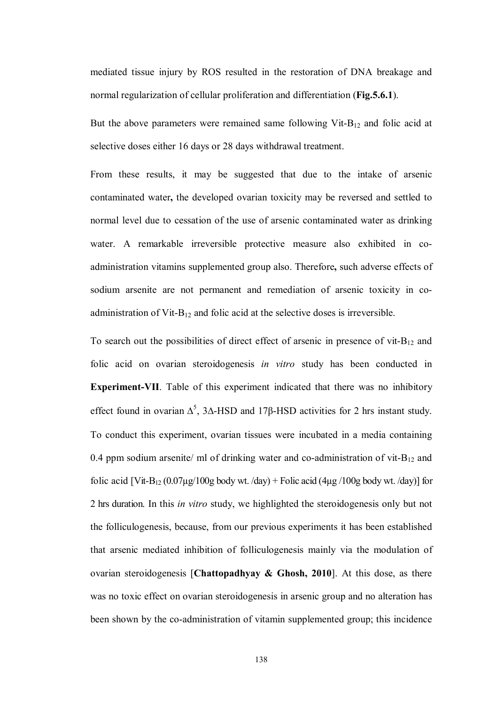mediated tissue injury by ROS resulted in the restoration of DNA breakage and normal regularization of cellular proliferation and differentiation (**Fig.5.6.1**).

But the above parameters were remained same following Vit-B $_{12}$  and folic acid at selective doses either 16 days or 28 days withdrawal treatment.

From these results, it may be suggested that due to the intake of arsenic contaminated water**,** the developed ovarian toxicity may be reversed and settled to normal level due to cessation of the use of arsenic contaminated water as drinking water. A remarkable irreversible protective measure also exhibited in coadministration vitamins supplemented group also. Therefore**,** such adverse effects of sodium arsenite are not permanent and remediation of arsenic toxicity in coadministration of Vit-B<sup>12</sup> and folic acid at the selective doses is irreversible.

To search out the possibilities of direct effect of arsenic in presence of vit- $B_{12}$  and folic acid on ovarian steroidogenesis *in vitro* study has been conducted in **Experiment-VII**. Table of this experiment indicated that there was no inhibitory effect found in ovarian  $\Delta^5$ , 3 $\Delta$ -HSD and 17 $\beta$ -HSD activities for 2 hrs instant study. To conduct this experiment, ovarian tissues were incubated in a media containing 0.4 ppm sodium arsenite/ ml of drinking water and co-administration of vit- $B_{12}$  and folic acid  $[\text{Vit-B}_{12} (0.07 \mu \text{g}/100 \text{g} \text{ body wt.}/\text{day}) + \text{Folic acid} (4 \mu \text{g}/100 \text{g} \text{ body wt.}/\text{day})]$  for 2 hrs duration. In this *in vitro* study, we highlighted the steroidogenesis only but not the folliculogenesis, because, from our previous experiments it has been established that arsenic mediated inhibition of folliculogenesis mainly via the modulation of ovarian steroidogenesis [**Chattopadhyay & Ghosh, 2010**]. At this dose, as there was no toxic effect on ovarian steroidogenesis in arsenic group and no alteration has been shown by the co-administration of vitamin supplemented group; this incidence